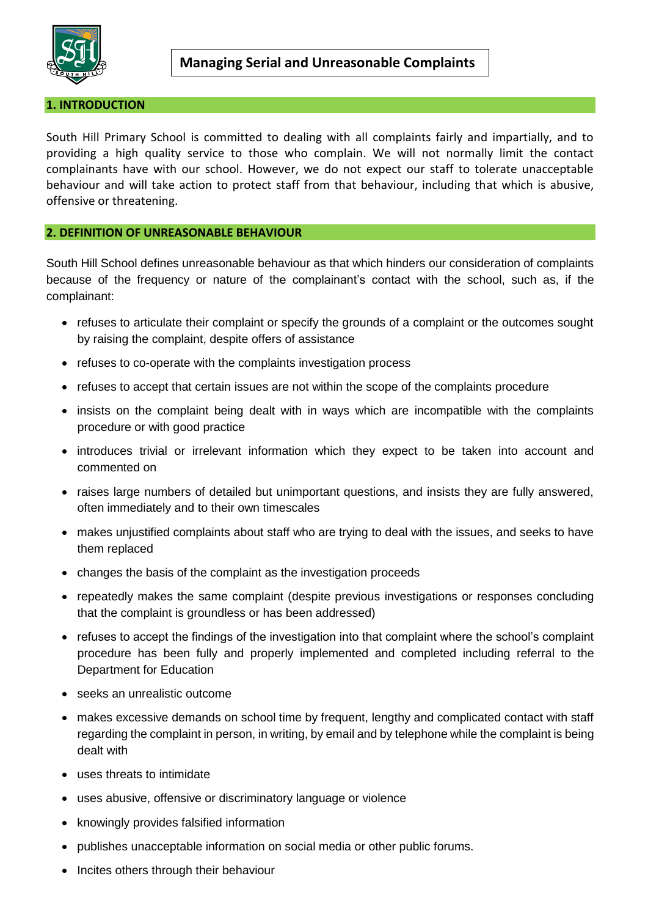

## **1. INTRODUCTION**

South Hill Primary School is committed to dealing with all complaints fairly and impartially, and to providing a high quality service to those who complain. We will not normally limit the contact complainants have with our school. However, we do not expect our staff to tolerate unacceptable behaviour and will take action to protect staff from that behaviour, including that which is abusive, offensive or threatening.

## **2. DEFINITION OF UNREASONABLE BEHAVIOUR**

South Hill School defines unreasonable behaviour as that which hinders our consideration of complaints because of the frequency or nature of the complainant's contact with the school, such as, if the complainant:

- refuses to articulate their complaint or specify the grounds of a complaint or the outcomes sought by raising the complaint, despite offers of assistance
- refuses to co-operate with the complaints investigation process
- refuses to accept that certain issues are not within the scope of the complaints procedure
- insists on the complaint being dealt with in ways which are incompatible with the complaints procedure or with good practice
- introduces trivial or irrelevant information which they expect to be taken into account and commented on
- raises large numbers of detailed but unimportant questions, and insists they are fully answered, often immediately and to their own timescales
- makes unjustified complaints about staff who are trying to deal with the issues, and seeks to have them replaced
- changes the basis of the complaint as the investigation proceeds
- repeatedly makes the same complaint (despite previous investigations or responses concluding that the complaint is groundless or has been addressed)
- refuses to accept the findings of the investigation into that complaint where the school's complaint procedure has been fully and properly implemented and completed including referral to the Department for Education
- seeks an unrealistic outcome
- makes excessive demands on school time by frequent, lengthy and complicated contact with staff regarding the complaint in person, in writing, by email and by telephone while the complaint is being dealt with
- uses threats to intimidate
- uses abusive, offensive or discriminatory language or violence
- knowingly provides falsified information
- publishes unacceptable information on social media or other public forums.
- Incites others through their behaviour